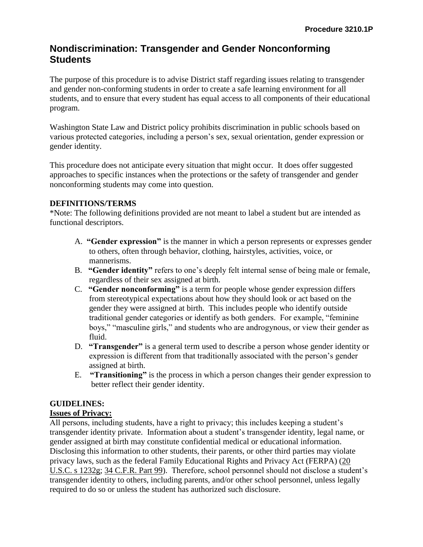# **Nondiscrimination: Transgender and Gender Nonconforming Students**

The purpose of this procedure is to advise District staff regarding issues relating to transgender and gender non-conforming students in order to create a safe learning environment for all students, and to ensure that every student has equal access to all components of their educational program.

Washington State Law and District policy prohibits discrimination in public schools based on various protected categories, including a person's sex, sexual orientation, gender expression or gender identity.

This procedure does not anticipate every situation that might occur. It does offer suggested approaches to specific instances when the protections or the safety of transgender and gender nonconforming students may come into question.

## **DEFINITIONS/TERMS**

\*Note: The following definitions provided are not meant to label a student but are intended as functional descriptors.

- A. **"Gender expression"** is the manner in which a person represents or expresses gender to others, often through behavior, clothing, hairstyles, activities, voice, or mannerisms.
- B. **"Gender identity"** refers to one's deeply felt internal sense of being male or female, regardless of their sex assigned at birth.
- C. **"Gender nonconforming"** is a term for people whose gender expression differs from stereotypical expectations about how they should look or act based on the gender they were assigned at birth. This includes people who identify outside traditional gender categories or identify as both genders. For example, "feminine boys," "masculine girls," and students who are androgynous, or view their gender as fluid.
- D. **"Transgender"** is a general term used to describe a person whose gender identity or expression is different from that traditionally associated with the person's gender assigned at birth.
- E. **"Transitioning"** is the process in which a person changes their gender expression to better reflect their gender identity.

# **GUIDELINES:**

#### **Issues of Privacy:**

All persons, including students, have a right to privacy; this includes keeping a student's transgender identity private. Information about a student's transgender identity, legal name, or gender assigned at birth may constitute confidential medical or educational information. Disclosing this information to other students, their parents, or other third parties may violate privacy laws, such as the federal Family Educational Rights and Privacy Act (FERPA) (20 U.S.C. s 1232g; 34 C.F.R. Part 99). Therefore, school personnel should not disclose a student's transgender identity to others, including parents, and/or other school personnel, unless legally required to do so or unless the student has authorized such disclosure.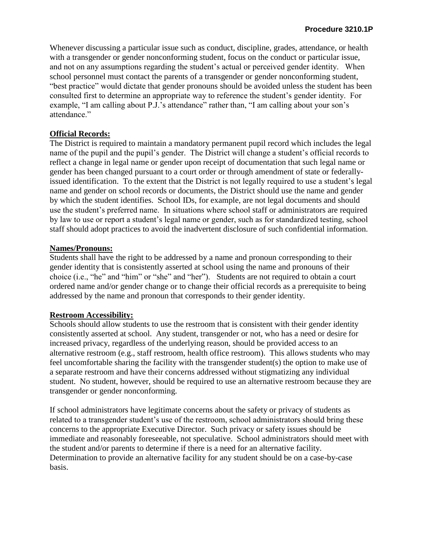Whenever discussing a particular issue such as conduct, discipline, grades, attendance, or health with a transgender or gender nonconforming student, focus on the conduct or particular issue, and not on any assumptions regarding the student's actual or perceived gender identity. When school personnel must contact the parents of a transgender or gender nonconforming student, "best practice" would dictate that gender pronouns should be avoided unless the student has been consulted first to determine an appropriate way to reference the student's gender identity. For example, "I am calling about P.J.'s attendance" rather than, "I am calling about your son's attendance."

### **Official Records:**

The District is required to maintain a mandatory permanent pupil record which includes the legal name of the pupil and the pupil's gender. The District will change a student's official records to reflect a change in legal name or gender upon receipt of documentation that such legal name or gender has been changed pursuant to a court order or through amendment of state or federallyissued identification. To the extent that the District is not legally required to use a student's legal name and gender on school records or documents, the District should use the name and gender by which the student identifies. School IDs, for example, are not legal documents and should use the student's preferred name. In situations where school staff or administrators are required by law to use or report a student's legal name or gender, such as for standardized testing, school staff should adopt practices to avoid the inadvertent disclosure of such confidential information.

#### **Names/Pronouns:**

Students shall have the right to be addressed by a name and pronoun corresponding to their gender identity that is consistently asserted at school using the name and pronouns of their choice (i.e., "he" and "him" or "she" and "her"). Students are not required to obtain a court ordered name and/or gender change or to change their official records as a prerequisite to being addressed by the name and pronoun that corresponds to their gender identity.

#### **Restroom Accessibility:**

Schools should allow students to use the restroom that is consistent with their gender identity consistently asserted at school. Any student, transgender or not, who has a need or desire for increased privacy, regardless of the underlying reason, should be provided access to an alternative restroom (e.g., staff restroom, health office restroom). This allows students who may feel uncomfortable sharing the facility with the transgender student(s) the option to make use of a separate restroom and have their concerns addressed without stigmatizing any individual student. No student, however, should be required to use an alternative restroom because they are transgender or gender nonconforming.

If school administrators have legitimate concerns about the safety or privacy of students as related to a transgender student's use of the restroom, school administrators should bring these concerns to the appropriate Executive Director. Such privacy or safety issues should be immediate and reasonably foreseeable, not speculative. School administrators should meet with the student and/or parents to determine if there is a need for an alternative facility. Determination to provide an alternative facility for any student should be on a case-by-case basis.